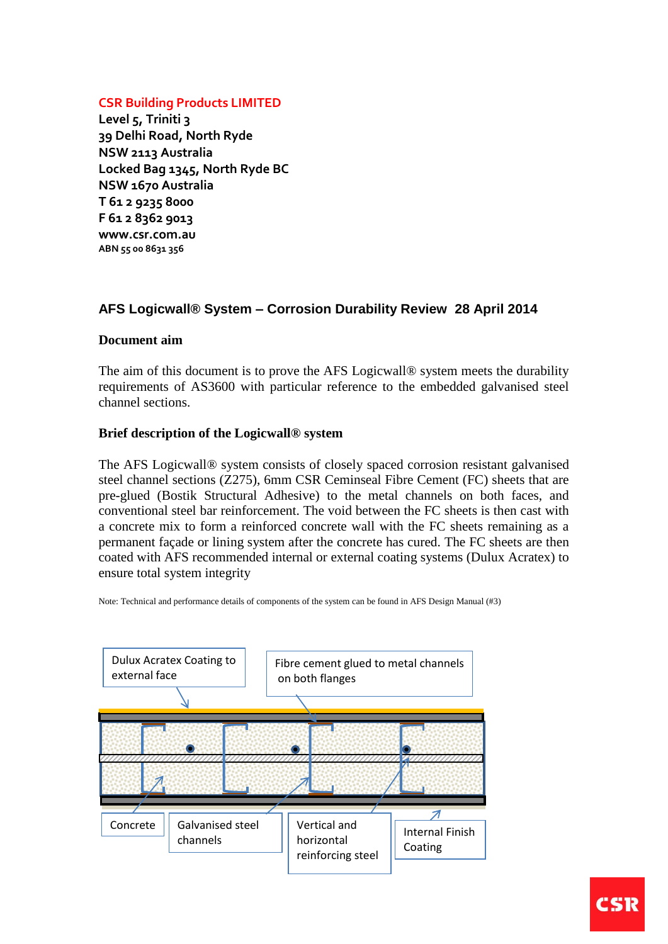### **CSR Building Products LIMITED**

**Level 5, Triniti 3 39 Delhi Road, North Ryde NSW 2113 Australia Locked Bag 1345, North Ryde BC NSW 1670 Australia T 61 2 9235 8000 F 61 2 8362 9013 www.csr.com.au ABN 55 00 8631 356**

# **AFS Logicwall® System – Corrosion Durability Review 28 April 2014**

### **Document aim**

The aim of this document is to prove the AFS Logicwall® system meets the durability requirements of AS3600 with particular reference to the embedded galvanised steel channel sections.

#### **Brief description of the Logicwall® system**

The AFS Logicwall® system consists of closely spaced corrosion resistant galvanised steel channel sections (Z275), 6mm CSR Ceminseal Fibre Cement (FC) sheets that are pre-glued (Bostik Structural Adhesive) to the metal channels on both faces, and conventional steel bar reinforcement. The void between the FC sheets is then cast with a concrete mix to form a reinforced concrete wall with the FC sheets remaining as a permanent façade or lining system after the concrete has cured. The FC sheets are then coated with AFS recommended internal or external coating systems (Dulux Acratex) to ensure total system integrity

Note: Technical and performance details of components of the system can be found in AFS Design Manual (#3)

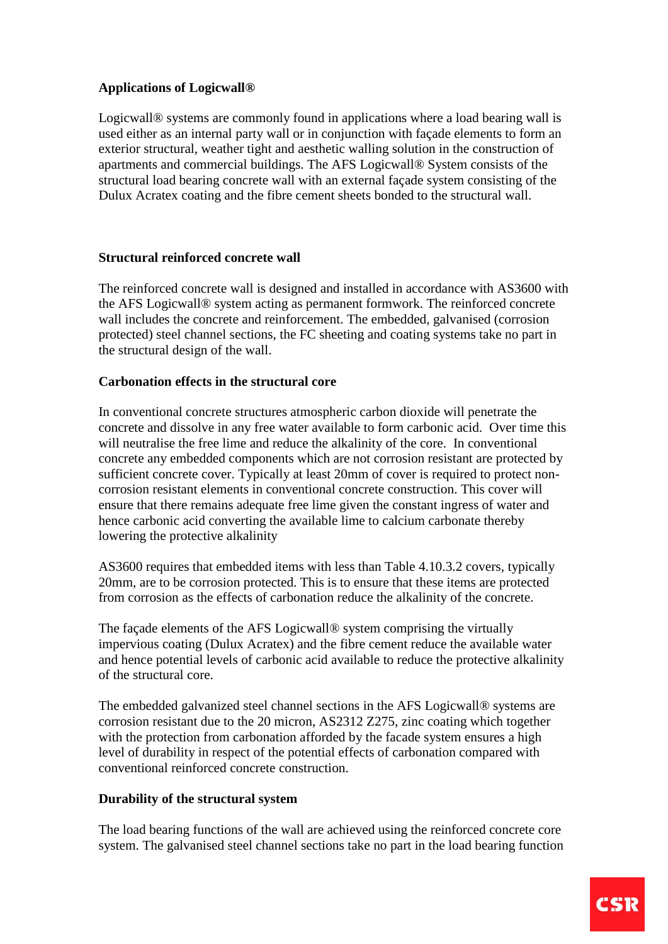# **Applications of Logicwall®**

Logicwall® systems are commonly found in applications where a load bearing wall is used either as an internal party wall or in conjunction with façade elements to form an exterior structural, weather tight and aesthetic walling solution in the construction of apartments and commercial buildings. The AFS Logicwall® System consists of the structural load bearing concrete wall with an external façade system consisting of the Dulux Acratex coating and the fibre cement sheets bonded to the structural wall.

### **Structural reinforced concrete wall**

The reinforced concrete wall is designed and installed in accordance with AS3600 with the AFS Logicwall® system acting as permanent formwork. The reinforced concrete wall includes the concrete and reinforcement. The embedded, galvanised (corrosion protected) steel channel sections, the FC sheeting and coating systems take no part in the structural design of the wall.

### **Carbonation effects in the structural core**

In conventional concrete structures atmospheric carbon dioxide will penetrate the concrete and dissolve in any free water available to form carbonic acid. Over time this will neutralise the free lime and reduce the alkalinity of the core. In conventional concrete any embedded components which are not corrosion resistant are protected by sufficient concrete cover. Typically at least 20mm of cover is required to protect noncorrosion resistant elements in conventional concrete construction. This cover will ensure that there remains adequate free lime given the constant ingress of water and hence carbonic acid converting the available lime to calcium carbonate thereby lowering the protective alkalinity

AS3600 requires that embedded items with less than Table 4.10.3.2 covers, typically 20mm, are to be corrosion protected. This is to ensure that these items are protected from corrosion as the effects of carbonation reduce the alkalinity of the concrete.

The façade elements of the AFS Logicwall® system comprising the virtually impervious coating (Dulux Acratex) and the fibre cement reduce the available water and hence potential levels of carbonic acid available to reduce the protective alkalinity of the structural core.

The embedded galvanized steel channel sections in the AFS Logicwall® systems are corrosion resistant due to the 20 micron, AS2312 Z275, zinc coating which together with the protection from carbonation afforded by the facade system ensures a high level of durability in respect of the potential effects of carbonation compared with conventional reinforced concrete construction.

# **Durability of the structural system**

The load bearing functions of the wall are achieved using the reinforced concrete core system. The galvanised steel channel sections take no part in the load bearing function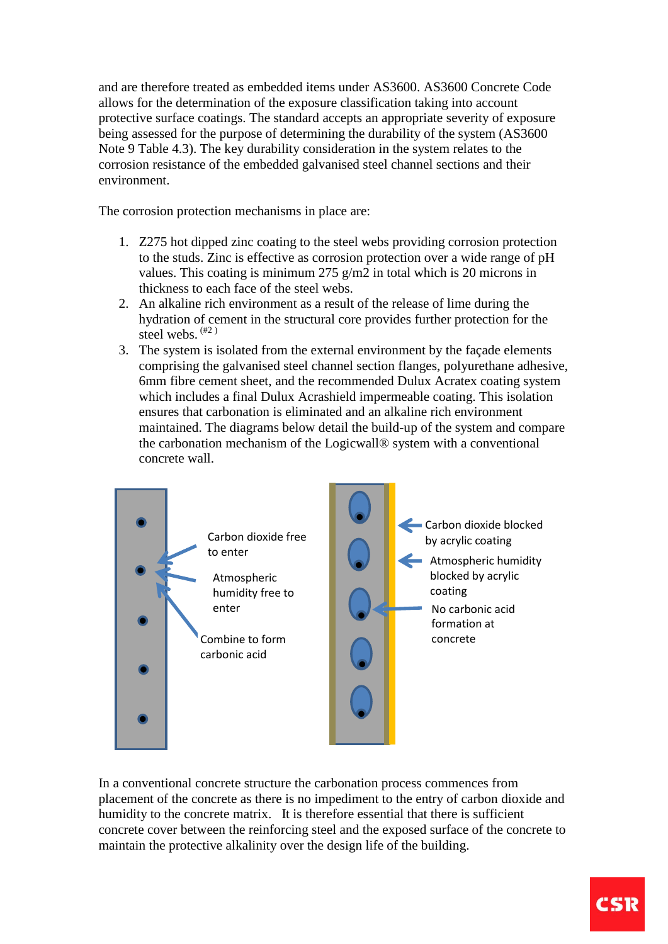and are therefore treated as embedded items under AS3600. AS3600 Concrete Code allows for the determination of the exposure classification taking into account protective surface coatings. The standard accepts an appropriate severity of exposure being assessed for the purpose of determining the durability of the system (AS3600 Note 9 Table 4.3). The key durability consideration in the system relates to the corrosion resistance of the embedded galvanised steel channel sections and their environment.

The corrosion protection mechanisms in place are:

- 1. Z275 hot dipped zinc coating to the steel webs providing corrosion protection to the studs. Zinc is effective as corrosion protection over a wide range of pH values. This coating is minimum 275 g/m2 in total which is 20 microns in thickness to each face of the steel webs.
- 2. An alkaline rich environment as a result of the release of lime during the hydration of cement in the structural core provides further protection for the steel webs.  $(42)$
- 3. The system is isolated from the external environment by the façade elements comprising the galvanised steel channel section flanges, polyurethane adhesive, 6mm fibre cement sheet, and the recommended Dulux Acratex coating system which includes a final Dulux Acrashield impermeable coating. This isolation ensures that carbonation is eliminated and an alkaline rich environment maintained. The diagrams below detail the build-up of the system and compare the carbonation mechanism of the Logicwall® system with a conventional concrete wall.



In a conventional concrete structure the carbonation process commences from placement of the concrete as there is no impediment to the entry of carbon dioxide and humidity to the concrete matrix. It is therefore essential that there is sufficient concrete cover between the reinforcing steel and the exposed surface of the concrete to maintain the protective alkalinity over the design life of the building.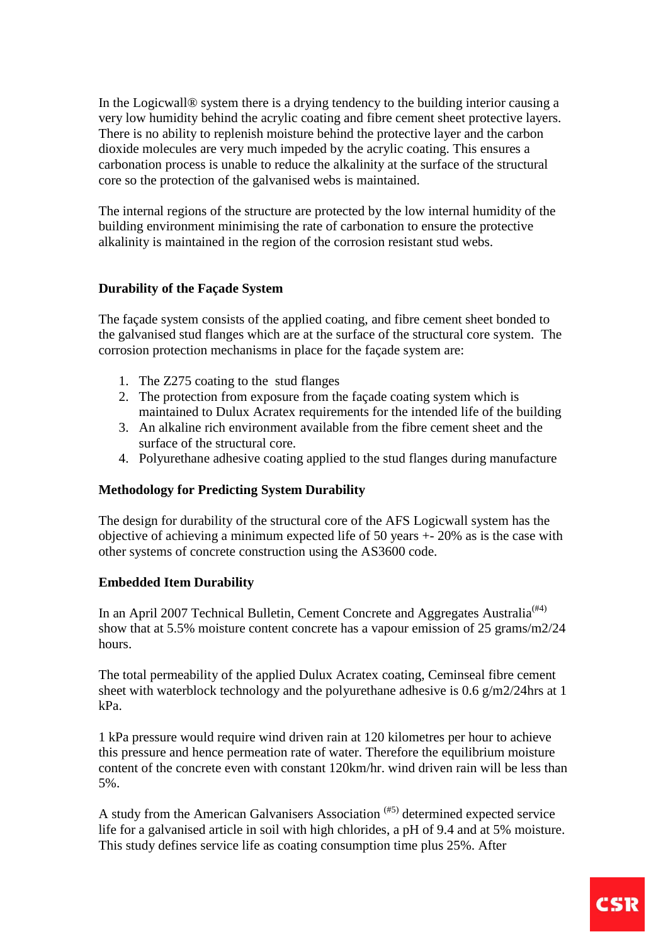In the Logicwall® system there is a drying tendency to the building interior causing a very low humidity behind the acrylic coating and fibre cement sheet protective layers. There is no ability to replenish moisture behind the protective layer and the carbon dioxide molecules are very much impeded by the acrylic coating. This ensures a carbonation process is unable to reduce the alkalinity at the surface of the structural core so the protection of the galvanised webs is maintained.

The internal regions of the structure are protected by the low internal humidity of the building environment minimising the rate of carbonation to ensure the protective alkalinity is maintained in the region of the corrosion resistant stud webs.

# **Durability of the Façade System**

The façade system consists of the applied coating, and fibre cement sheet bonded to the galvanised stud flanges which are at the surface of the structural core system. The corrosion protection mechanisms in place for the façade system are:

- 1. The Z275 coating to the stud flanges
- 2. The protection from exposure from the façade coating system which is maintained to Dulux Acratex requirements for the intended life of the building
- 3. An alkaline rich environment available from the fibre cement sheet and the surface of the structural core.
- 4. Polyurethane adhesive coating applied to the stud flanges during manufacture

### **Methodology for Predicting System Durability**

The design for durability of the structural core of the AFS Logicwall system has the objective of achieving a minimum expected life of 50 years +- 20% as is the case with other systems of concrete construction using the AS3600 code.

# **Embedded Item Durability**

In an April 2007 Technical Bulletin, Cement Concrete and Aggregates Australia<sup>(#4)</sup> show that at 5.5% moisture content concrete has a vapour emission of 25 grams/m2/24 hours.

The total permeability of the applied Dulux Acratex coating, Ceminseal fibre cement sheet with waterblock technology and the polyurethane adhesive is 0.6 g/m2/24hrs at 1 kPa.

1 kPa pressure would require wind driven rain at 120 kilometres per hour to achieve this pressure and hence permeation rate of water. Therefore the equilibrium moisture content of the concrete even with constant 120km/hr. wind driven rain will be less than 5%.

A study from the American Galvanisers Association (#5) determined expected service life for a galvanised article in soil with high chlorides, a pH of 9.4 and at 5% moisture. This study defines service life as coating consumption time plus 25%. After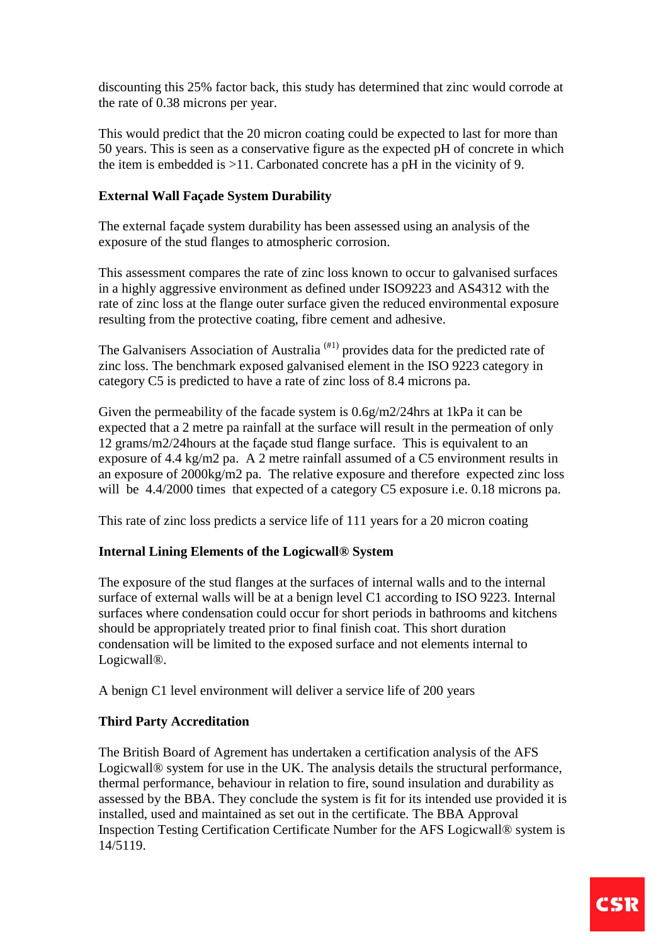discounting this 25% factor back, this study has determined that zinc would corrode at the rate of 0.38 microns per year.

This would predict that the 20 micron coating could be expected to last for more than 50 years. This is seen as a conservative figure as the expected pH of concrete in which the item is embedded is >11. Carbonated concrete has a pH in the vicinity of 9.

# **External Wall Façade System Durability**

The external façade system durability has been assessed using an analysis of the exposure of the stud flanges to atmospheric corrosion.

This assessment compares the rate of zinc loss known to occur to galvanised surfaces in a highly aggressive environment as defined under ISO9223 and AS4312 with the rate of zinc loss at the flange outer surface given the reduced environmental exposure resulting from the protective coating, fibre cement and adhesive.

The Galvanisers Association of Australia<sup> $(H1)$ </sup> provides data for the predicted rate of zinc loss. The benchmark exposed galvanised element in the ISO 9223 category in category C5 is predicted to have a rate of zinc loss of 8.4 microns pa.

Given the permeability of the facade system is 0.6g/m2/24hrs at 1kPa it can be expected that a 2 metre pa rainfall at the surface will result in the permeation of only 12 grams/m2/24hours at the façade stud flange surface. This is equivalent to an exposure of 4.4 kg/m2 pa. A 2 metre rainfall assumed of a C5 environment results in an exposure of 2000kg/m2 pa. The relative exposure and therefore expected zinc loss will be 4.4/2000 times that expected of a category C5 exposure i.e. 0.18 microns pa.

This rate of zinc loss predicts a service life of 111 years for a 20 micron coating

### **Internal Lining Elements of the Logicwall® System**

The exposure of the stud flanges at the surfaces of internal walls and to the internal surface of external walls will be at a benign level C1 according to ISO 9223. Internal surfaces where condensation could occur for short periods in bathrooms and kitchens should be appropriately treated prior to final finish coat. This short duration condensation will be limited to the exposed surface and not elements internal to Logicwall®.

A benign C1 level environment will deliver a service life of 200 years

### **Third Party Accreditation**

The British Board of Agrement has undertaken a certification analysis of the AFS Logicwall® system for use in the UK. The analysis details the structural performance, thermal performance, behaviour in relation to fire, sound insulation and durability as assessed by the BBA. They conclude the system is fit for its intended use provided it is installed, used and maintained as set out in the certificate. The BBA Approval Inspection Testing Certification Certificate Number for the AFS Logicwall® system is 14/5119.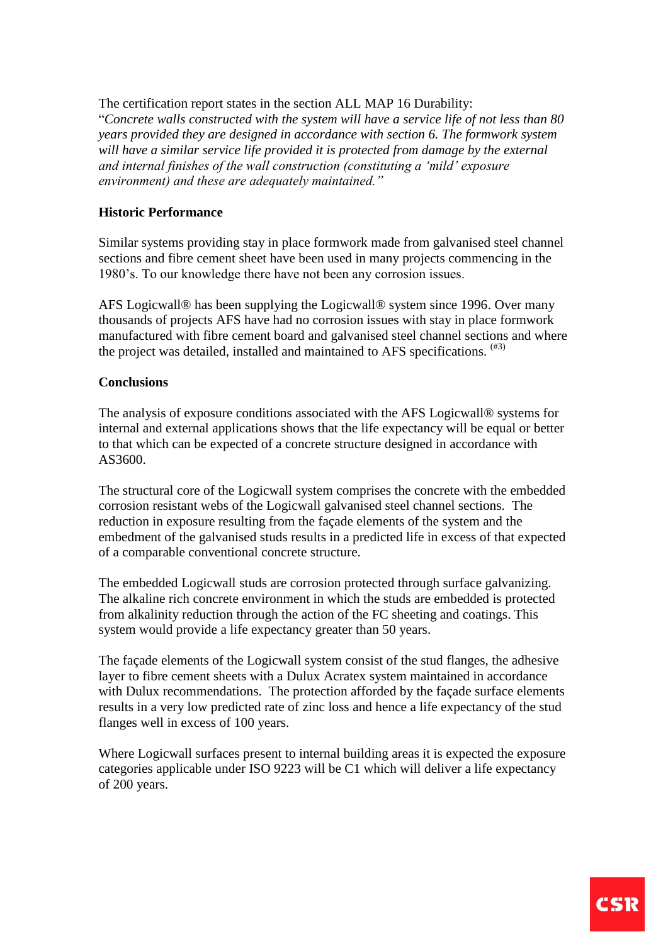The certification report states in the section ALL MAP 16 Durability:

"*Concrete walls constructed with the system will have a service life of not less than 80 years provided they are designed in accordance with section 6. The formwork system will have a similar service life provided it is protected from damage by the external and internal finishes of the wall construction (constituting a 'mild' exposure environment) and these are adequately maintained."*

### **Historic Performance**

Similar systems providing stay in place formwork made from galvanised steel channel sections and fibre cement sheet have been used in many projects commencing in the 1980's. To our knowledge there have not been any corrosion issues.

AFS Logicwall® has been supplying the Logicwall® system since 1996. Over many thousands of projects AFS have had no corrosion issues with stay in place formwork manufactured with fibre cement board and galvanised steel channel sections and where the project was detailed, installed and maintained to AFS specifications.  $(43)$ 

### **Conclusions**

The analysis of exposure conditions associated with the AFS Logicwall® systems for internal and external applications shows that the life expectancy will be equal or better to that which can be expected of a concrete structure designed in accordance with AS3600.

The structural core of the Logicwall system comprises the concrete with the embedded corrosion resistant webs of the Logicwall galvanised steel channel sections. The reduction in exposure resulting from the façade elements of the system and the embedment of the galvanised studs results in a predicted life in excess of that expected of a comparable conventional concrete structure.

The embedded Logicwall studs are corrosion protected through surface galvanizing. The alkaline rich concrete environment in which the studs are embedded is protected from alkalinity reduction through the action of the FC sheeting and coatings. This system would provide a life expectancy greater than 50 years.

The façade elements of the Logicwall system consist of the stud flanges, the adhesive layer to fibre cement sheets with a Dulux Acratex system maintained in accordance with Dulux recommendations. The protection afforded by the façade surface elements results in a very low predicted rate of zinc loss and hence a life expectancy of the stud flanges well in excess of 100 years.

Where Logicwall surfaces present to internal building areas it is expected the exposure categories applicable under ISO 9223 will be C1 which will deliver a life expectancy of 200 years.